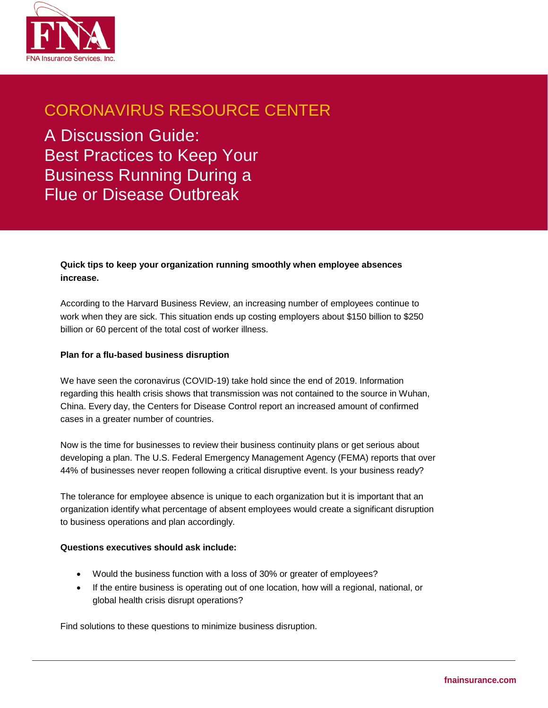

## CORONAVIRUS RESOURCE CENTER

A Discussion Guide: Best Practices to Keep Your Business Running During a Flue or Disease Outbreak

**Quick tips to keep your organization running smoothly when employee absences increase.**

According to the Harvard Business Review, an increasing number of employees continue to work when they are sick. This situation ends up costing employers about \$150 billion to \$250 billion or 60 percent of the total cost of worker illness.

## **Plan for a flu-based business disruption**

We have seen the coronavirus (COVID-19) take hold since the end of 2019. Information regarding this health crisis shows that transmission was not contained to the source in Wuhan, China. Every day, the Centers for Disease Control report an increased amount of confirmed cases in a greater number of countries.

Now is the time for businesses to review their business continuity plans or get serious about developing a plan. The U.S. Federal Emergency Management Agency (FEMA) reports that over 44% of businesses never reopen following a critical disruptive event. Is your business ready?

The tolerance for employee absence is unique to each organization but it is important that an organization identify what percentage of absent employees would create a significant disruption to business operations and plan accordingly.

## **Questions executives should ask include:**

- Would the business function with a loss of 30% or greater of employees?
- If the entire business is operating out of one location, how will a regional, national, or global health crisis disrupt operations?

Find solutions to these questions to minimize business disruption.